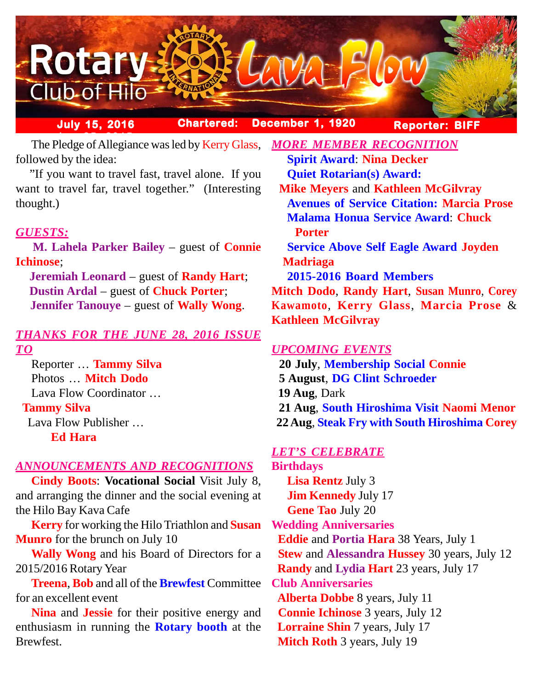

**July 15, 2016 Chartered: December 1, 1920**

**Reporter: BIFF**

The Pledge of Allegiance was led by Kerry Glass, followed by the idea:

 "If you want to travel fast, travel alone. If you want to travel far, travel together." (Interesting thought.)

# *GUESTS:*

 **M. Lahela Parker Bailey** – guest of **Connie Ichinose**;

 **Jeremiah Leonard** – guest of **Randy Hart**; **Dustin Ardal** – guest of **Chuck Porter**; **Jennifer Tanouye** – guest of **Wally Wong**.

## *THANKS FOR THE JUNE 28, 2016 ISSUE TO*

Reporter … **Tammy Silva** Photos … **Mitch Dodo** Lava Flow Coordinator … **Tammy Silva** Lava Flow Publisher … **Ed Hara**

## *ANNOUNCEMENTS AND RECOGNITIONS*

**Cindy Boots**: **Vocational Social** Visit July 8, and arranging the dinner and the social evening at the Hilo Bay Kava Cafe

**Kerry** for working the Hilo Triathlon and **Susan Munro** for the brunch on July 10

**Wally Wong** and his Board of Directors for a 2015/2016 Rotary Year

**Treena**, **Bob** and all of the **Brewfest** Committee for an excellent event

**Nina** and **Jessie** for their positive energy and enthusiasm in running the **Rotary booth** at the Brewfest.

**Spirit Award**: **Nina Decker Quiet Rotarian(s) Award: Mike Meyers** and **Kathleen McGilvray Avenues of Service Citation: Marcia Prose Malama Honua Service Award**: **Chuck Porter Service Above Self Eagle Award Joyden Madriaga 2015-2016 Board Members Mitch Dodo**, **Randy Hart**, **Susan Munro**, **Corey Kawamoto**, **Kerry Glass**, **Marcia Prose** & **Kathleen McGilvray**

*MORE MEMBER RECOGNITION*

## *UPCOMING EVENTS*

 **20 July**, **Membership Social Connie 5 August**, **DG Clint Schroeder 19 Aug**, Dark **21 Aug**, **South Hiroshima Visit Naomi Menor 22 Aug**, **Steak Fry with South Hiroshima Corey**

## *LET'S CELEBRATE*

**Birthdays Lisa Rentz** July 3 **Jim Kennedy** July 17 **Gene Tao** July 20 **Wedding Anniversaries Eddie** and **Portia Hara** 38 Years, July 1 **Stew** and **Alessandra Hussey** 30 years, July 12 **Randy** and **Lydia Hart** 23 years, July 17 **Club Anniversaries Alberta Dobbe** 8 years, July 11 **Connie Ichinose** 3 years, July 12 **Lorraine Shin** 7 years, July 17 **Mitch Roth** 3 years, July 19